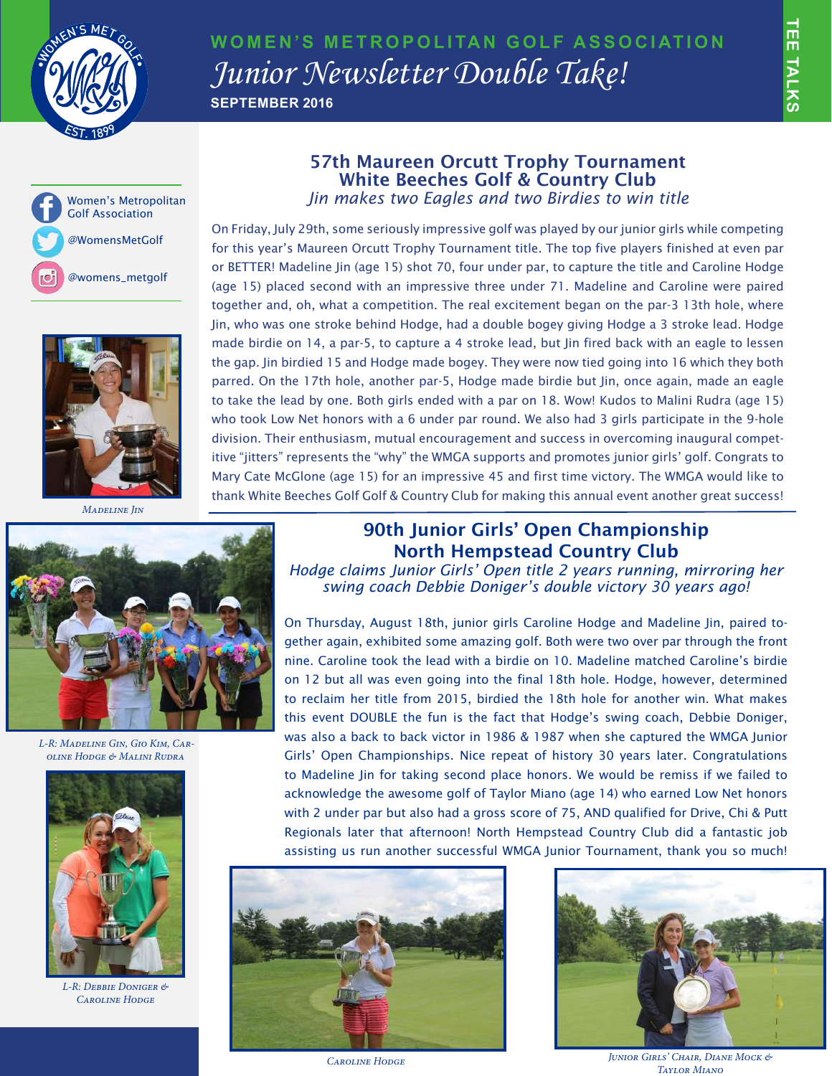

## **WOMEN'S METROPOLITAN GOLF ASSOCIATION** *Junior Newsletter Double Take!* **SEPTEMBER 2016**





 *Madeline Jin*



 *L-R: Madeline Gin, Gio Kim, Caroline Hodge & Malini Rudra*



*L-R: Debbie Doniger & Caroline Hodge*

## 57th Maureen Orcutt Trophy Tournament White Beeches Golf & Country Club *Jin makes two Eagles and two Birdies to win title*

On Friday, July 29th, some seriously impressive golf was played by our junior girls while competing for this year's Maureen Orcutt Trophy Tournament title. The top five players finished at even par or BETTER! Madeline Jin (age 15) shot 70, four under par, to capture the title and Caroline Hodge (age 15) placed second with an impressive three under 71. Madeline and Caroline were paired together and, oh, what a competition. The real excitement began on the par-3 13th hole, where Jin, who was one stroke behind Hodge, had a double bogey giving Hodge a 3 stroke lead. Hodge made birdie on 14, a par-5, to capture a 4 stroke lead, but Jin fired back with an eagle to lessen the gap. Jin birdied 15 and Hodge made bogey. They were now tied going into 16 which they both parred. On the 17th hole, another par-5, Hodge made birdie but Jin, once again, made an eagle to take the lead by one. Both girls ended with a par on 18. Wow! Kudos to Malini Rudra (age 15) who took Low Net honors with a 6 under par round. We also had 3 girls participate in the 9-hole division. Their enthusiasm, mutual encouragement and success in overcoming inaugural competitive "jitters" represents the "why" the WMGA supports and promotes junior girls' golf. Congrats to Mary Cate McGlone (age 15) for an impressive 45 and first time victory. The WMGA would like to thank White Beeches Golf Golf & Country Club for making this annual event another great success!

## 90th Junior Girls' Open Championship North Hempstead Country Club

*Hodge claims Junior Girls' Open title 2 years running, mirroring her swing coach Debbie Doniger's double victory 30 years ago!* 

On Thursday, August 18th, junior girls Caroline Hodge and Madeline Jin, paired together again, exhibited some amazing golf. Both were two over par through the front nine. Caroline took the lead with a birdie on 10. Madeline matched Caroline's birdie on 12 but all was even going into the final 18th hole. Hodge, however, determined to reclaim her title from 2015, birdied the 18th hole for another win. What makes this event DOUBLE the fun is the fact that Hodge's swing coach, Debbie Doniger, was also a back to back victor in 1986 & 1987 when she captured the WMGA Junior Girls' Open Championships. Nice repeat of history 30 years later. Congratulations to Madeline Jin for taking second place honors. We would be remiss if we failed to acknowledge the awesome golf of Taylor Miano (age 14) who earned Low Net honors with 2 under par but also had a gross score of 75, AND qualified for Drive, Chi & Putt Regionals later that afternoon! North Hempstead Country Club did a fantastic job assisting us run another successful WMGA Junior Tournament, thank you so much!





*Caroline Hodge Junior Girls' Chair, Diane Mock & Taylor Miano*